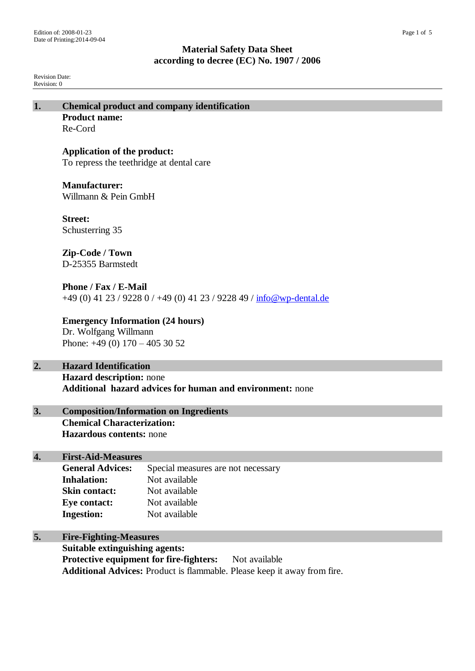Revision Date: Revision: 0

**1. Chemical product and company identification Product name:** Re-Cord **Application of the product:** To repress the teethridge at dental care **Manufacturer:** Willmann & Pein GmbH **Street:** Schusterring 35 **Zip-Code / Town** D-25355 Barmstedt **Phone / Fax / E-Mail**

+49 (0) 41 23 / 9228 0 / +49 (0) 41 23 / 9228 49 / [info@wp-dental.de](mailto:info@wp-dental.de)

**Emergency Information (24 hours)** Dr. Wolfgang Willmann Phone: +49 (0) 170 – 405 30 52

# **2. Hazard Identification**

**Hazard description:** none **Additional hazard advices for human and environment:** none

# **3. Composition/Information on Ingredients Chemical Characterization: Hazardous contents:** none

# **4. First-Aid-Measures**

| <b>General Advices:</b> | Special measures are not necessary |
|-------------------------|------------------------------------|
| <b>Inhalation:</b>      | Not available                      |
| <b>Skin contact:</b>    | Not available                      |
| Eye contact:            | Not available                      |
| <b>Ingestion:</b>       | Not available                      |

**5. Fire-Fighting-Measures**

**Suitable extinguishing agents: Protective equipment for fire-fighters:** Not available **Additional Advices:** Product is flammable. Please keep it away from fire.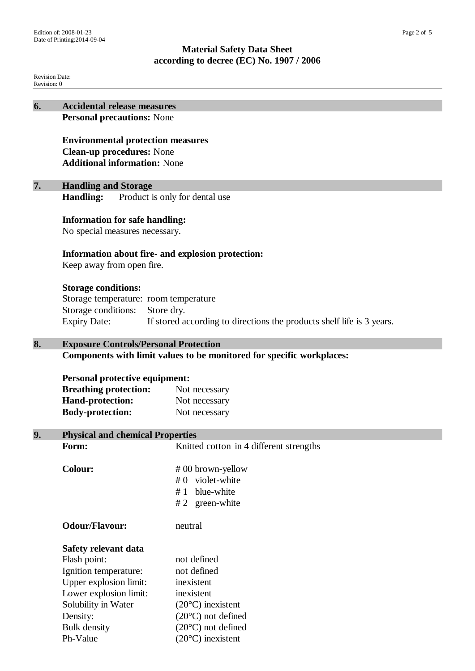Revision Date: Revision: 0

| 6. | <b>Accidental release measures</b>                                                                                           |                                                                       |  |  |
|----|------------------------------------------------------------------------------------------------------------------------------|-----------------------------------------------------------------------|--|--|
|    | <b>Personal precautions: None</b>                                                                                            |                                                                       |  |  |
|    | <b>Environmental protection measures</b>                                                                                     |                                                                       |  |  |
|    |                                                                                                                              |                                                                       |  |  |
|    | <b>Clean-up procedures: None</b>                                                                                             |                                                                       |  |  |
|    | <b>Additional information: None</b>                                                                                          |                                                                       |  |  |
|    |                                                                                                                              |                                                                       |  |  |
| 7. | <b>Handling and Storage</b>                                                                                                  |                                                                       |  |  |
|    | <b>Handling:</b><br>Product is only for dental use                                                                           |                                                                       |  |  |
|    |                                                                                                                              |                                                                       |  |  |
|    | <b>Information for safe handling:</b><br>No special measures necessary.<br>Information about fire- and explosion protection: |                                                                       |  |  |
|    |                                                                                                                              |                                                                       |  |  |
|    |                                                                                                                              |                                                                       |  |  |
|    | Keep away from open fire.                                                                                                    |                                                                       |  |  |
|    |                                                                                                                              |                                                                       |  |  |
|    | <b>Storage conditions:</b>                                                                                                   |                                                                       |  |  |
|    | Storage temperature: room temperature<br>Storage conditions:<br>Store dry.                                                   |                                                                       |  |  |
|    |                                                                                                                              |                                                                       |  |  |
|    | <b>Expiry Date:</b><br>If stored according to directions the products shelf life is 3 years.                                 |                                                                       |  |  |
|    |                                                                                                                              |                                                                       |  |  |
| 8. | <b>Exposure Controls/Personal Protection</b>                                                                                 |                                                                       |  |  |
|    |                                                                                                                              | Components with limit values to be monitored for specific workplaces: |  |  |
|    |                                                                                                                              |                                                                       |  |  |
|    | <b>Personal protective equipment:</b>                                                                                        |                                                                       |  |  |
|    | <b>Breathing protection:</b>                                                                                                 | Not necessary                                                         |  |  |
|    | <b>Hand-protection:</b>                                                                                                      | Not necessary                                                         |  |  |
|    | <b>Body-protection:</b>                                                                                                      | Not necessary                                                         |  |  |
|    |                                                                                                                              |                                                                       |  |  |
| 9. | <b>Physical and chemical Properties</b>                                                                                      |                                                                       |  |  |
|    | Form:                                                                                                                        | Knitted cotton in 4 different strengths                               |  |  |
|    | <b>Colour:</b>                                                                                                               | #00 brown-yellow                                                      |  |  |
|    |                                                                                                                              | violet-white<br>#0                                                    |  |  |
|    |                                                                                                                              | blue-white<br>#1                                                      |  |  |
|    |                                                                                                                              | # 2 green-white                                                       |  |  |
|    |                                                                                                                              |                                                                       |  |  |
|    | <b>Odour/Flavour:</b>                                                                                                        | neutral                                                               |  |  |
|    |                                                                                                                              |                                                                       |  |  |
|    | Safety relevant data                                                                                                         |                                                                       |  |  |
|    | Flash point:                                                                                                                 | not defined                                                           |  |  |
|    | Ignition temperature:                                                                                                        | not defined                                                           |  |  |
|    | Upper explosion limit:                                                                                                       | inexistent                                                            |  |  |
|    | Lower explosion limit:                                                                                                       | inexistent                                                            |  |  |
|    | Solubility in Water                                                                                                          | $(20^{\circ}C)$ inexistent                                            |  |  |
|    | Density:                                                                                                                     | $(20^{\circ}C)$ not defined                                           |  |  |
|    | <b>Bulk</b> density                                                                                                          | $(20^{\circ}C)$ not defined                                           |  |  |
|    | Ph-Value                                                                                                                     | $(20^{\circ}C)$ inexistent                                            |  |  |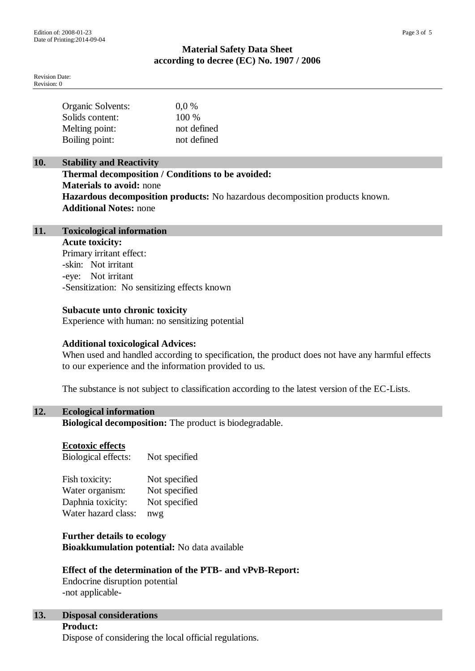Revision Date: Revision: 0

| Organic Solvents: | $0.0\%$     |
|-------------------|-------------|
| Solids content:   | 100 %       |
| Melting point:    | not defined |
| Boiling point:    | not defined |

# **10. Stability and Reactivity**

**Thermal decomposition / Conditions to be avoided: Materials to avoid:** none **Hazardous decomposition products:** No hazardous decomposition products known. **Additional Notes:** none

# **11. Toxicological information**

**Acute toxicity:** Primary irritant effect: -skin: Not irritant -eye: Not irritant -Sensitization: No sensitizing effects known

## **Subacute unto chronic toxicity**

Experience with human: no sensitizing potential

## **Additional toxicological Advices:**

When used and handled according to specification, the product does not have any harmful effects to our experience and the information provided to us.

The substance is not subject to classification according to the latest version of the EC-Lists.

## **12. Ecological information**

**Biological decomposition:** The product is biodegradable.

## **Ecotoxic effects**

Biological effects: Not specified

| Fish toxicity:      | Not specified |
|---------------------|---------------|
| Water organism:     | Not specified |
| Daphnia toxicity:   | Not specified |
| Water hazard class: | nwg           |

**Further details to ecology Bioakkumulation potential:** No data available

# **Effect of the determination of the PTB- and vPvB-Report:**

Endocrine disruption potential -not applicable-

# **13. Disposal considerations**

**Product:** Dispose of considering the local official regulations.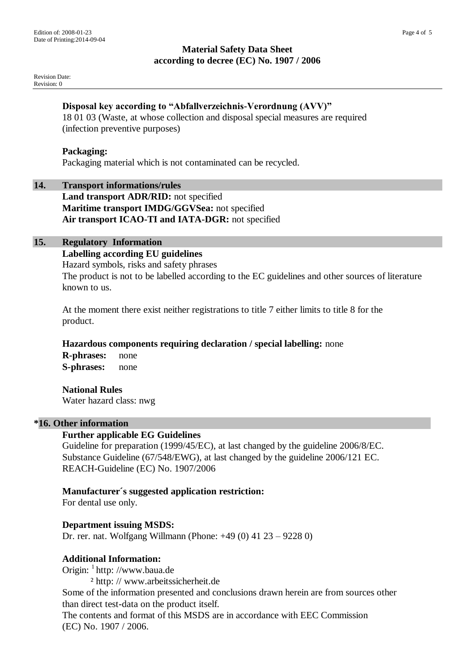Revision Date: Revision: 0

# **Disposal key according to "Abfallverzeichnis-Verordnung (AVV)"**

18 01 03 (Waste, at whose collection and disposal special measures are required (infection preventive purposes)

#### **Packaging:**

Packaging material which is not contaminated can be recycled.

#### **14. Transport informations/rules**

**Land transport ADR/RID:** not specified **Maritime transport IMDG/GGVSea:** not specified **Air transport ICAO-TI and IATA-DGR:** not specified

# **15. Regulatory Information**

**Labelling according EU guidelines**

Hazard symbols, risks and safety phrases The product is not to be labelled according to the EC guidelines and other sources of literature known to us.

At the moment there exist neither registrations to title 7 either limits to title 8 for the product.

**Hazardous components requiring declaration / special labelling:** none **R-phrases:** none

**S-phrases:** none

## **National Rules**

Water hazard class: nwg

# **\*16. Other information**

## **Further applicable EG Guidelines**

Guideline for preparation (1999/45/EC), at last changed by the guideline 2006/8/EC. Substance Guideline (67/548/EWG), at last changed by the guideline 2006/121 EC. REACH-Guideline (EC) No. 1907/2006

## **Manufacturer´s suggested application restriction:**

For dental use only.

## **Department issuing MSDS:**

Dr. rer. nat. Wolfgang Willmann (Phone: +49 (0) 41 23 – 9228 0)

## **Additional Information:**

Origin: <sup>1</sup> http: //www.baua.de

² http: // www.arbeitssicherheit.de

Some of the information presented and conclusions drawn herein are from sources other than direct test-data on the product itself.

The contents and format of this MSDS are in accordance with EEC Commission (EC) No. 1907 / 2006.